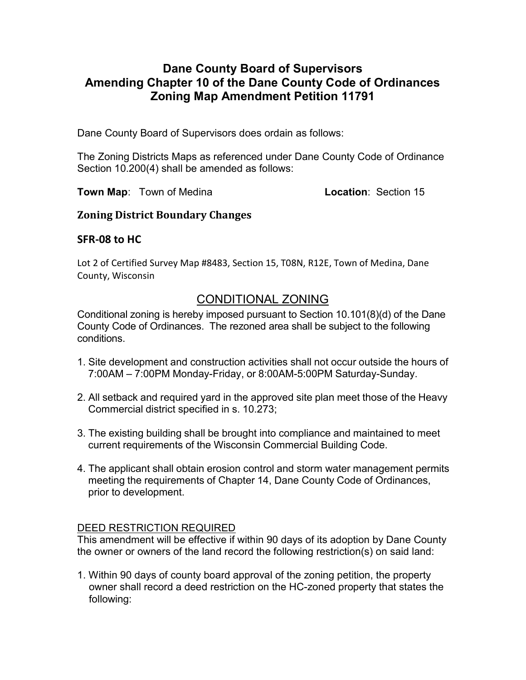## Dane County Board of Supervisors Amending Chapter 10 of the Dane County Code of Ordinances Zoning Map Amendment Petition 11791

Dane County Board of Supervisors does ordain as follows:

The Zoning Districts Maps as referenced under Dane County Code of Ordinance Section 10.200(4) shall be amended as follows:

Town Map: Town of Medina **Location: Section 15** 

### Zoning District Boundary Changes

## SFR-08 to HC

Lot 2 of Certified Survey Map #8483, Section 15, T08N, R12E, Town of Medina, Dane County, Wisconsin

# CONDITIONAL ZONING

Conditional zoning is hereby imposed pursuant to Section 10.101(8)(d) of the Dane County Code of Ordinances. The rezoned area shall be subject to the following conditions.

- 1. Site development and construction activities shall not occur outside the hours of 7:00AM – 7:00PM Monday-Friday, or 8:00AM-5:00PM Saturday-Sunday.
- 2. All setback and required yard in the approved site plan meet those of the Heavy Commercial district specified in s. 10.273;
- 3. The existing building shall be brought into compliance and maintained to meet current requirements of the Wisconsin Commercial Building Code.
- 4. The applicant shall obtain erosion control and storm water management permits meeting the requirements of Chapter 14, Dane County Code of Ordinances, prior to development.

### DEED RESTRICTION REQUIRED

This amendment will be effective if within 90 days of its adoption by Dane County the owner or owners of the land record the following restriction(s) on said land:

1. Within 90 days of county board approval of the zoning petition, the property owner shall record a deed restriction on the HC-zoned property that states the following: